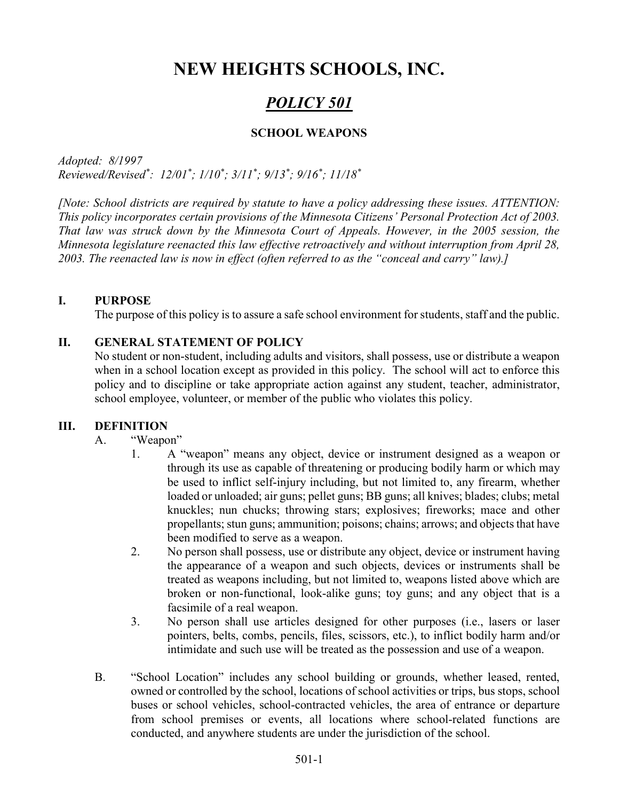# NEW HEIGHTS SCHOOLS, INC.

## POLICY 501

### SCHOOL WEAPONS

Adopted: 8/1997 Reviewed/Revised<sup>\*</sup>: 12/01<sup>\*</sup>; 1/10<sup>\*</sup>; 3/11<sup>\*</sup>; 9/13<sup>\*</sup>; 9/16<sup>\*</sup>; 11/18<sup>\*</sup>

[Note: School districts are required by statute to have a policy addressing these issues. ATTENTION: This policy incorporates certain provisions of the Minnesota Citizens' Personal Protection Act of 2003. That law was struck down by the Minnesota Court of Appeals. However, in the 2005 session, the Minnesota legislature reenacted this law effective retroactively and without interruption from April 28, 2003. The reenacted law is now in effect (often referred to as the "conceal and carry" law).]

### I. PURPOSE

The purpose of this policy is to assure a safe school environment for students, staff and the public.

### II. GENERAL STATEMENT OF POLICY

No student or non-student, including adults and visitors, shall possess, use or distribute a weapon when in a school location except as provided in this policy. The school will act to enforce this policy and to discipline or take appropriate action against any student, teacher, administrator, school employee, volunteer, or member of the public who violates this policy.

### III. DEFINITION

### A. "Weapon"

- 1. A "weapon" means any object, device or instrument designed as a weapon or through its use as capable of threatening or producing bodily harm or which may be used to inflict self-injury including, but not limited to, any firearm, whether loaded or unloaded; air guns; pellet guns; BB guns; all knives; blades; clubs; metal knuckles; nun chucks; throwing stars; explosives; fireworks; mace and other propellants; stun guns; ammunition; poisons; chains; arrows; and objects that have been modified to serve as a weapon.
- 2. No person shall possess, use or distribute any object, device or instrument having the appearance of a weapon and such objects, devices or instruments shall be treated as weapons including, but not limited to, weapons listed above which are broken or non-functional, look-alike guns; toy guns; and any object that is a facsimile of a real weapon.
- 3. No person shall use articles designed for other purposes (i.e., lasers or laser pointers, belts, combs, pencils, files, scissors, etc.), to inflict bodily harm and/or intimidate and such use will be treated as the possession and use of a weapon.
- B. "School Location" includes any school building or grounds, whether leased, rented, owned or controlled by the school, locations of school activities or trips, bus stops, school buses or school vehicles, school-contracted vehicles, the area of entrance or departure from school premises or events, all locations where school-related functions are conducted, and anywhere students are under the jurisdiction of the school.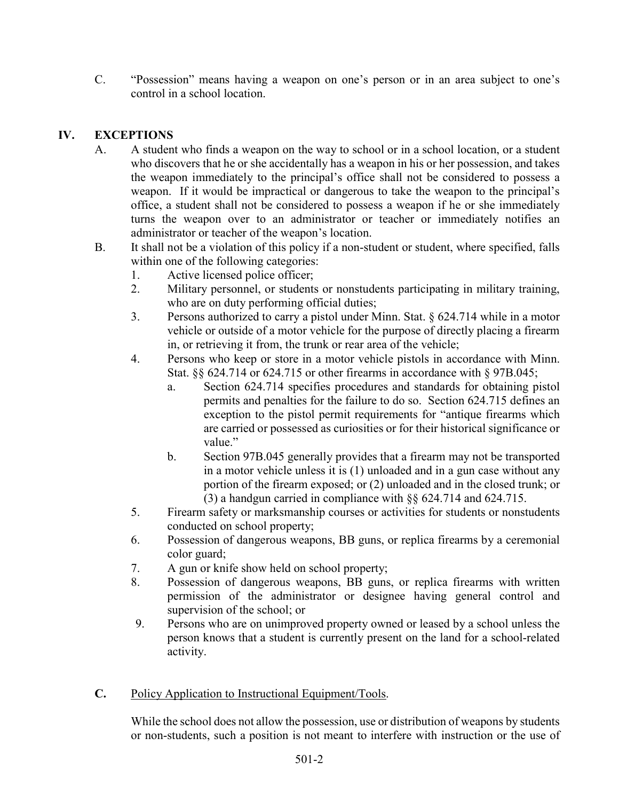C. "Possession" means having a weapon on one's person or in an area subject to one's control in a school location.

### IV. EXCEPTIONS

- A. A student who finds a weapon on the way to school or in a school location, or a student who discovers that he or she accidentally has a weapon in his or her possession, and takes the weapon immediately to the principal's office shall not be considered to possess a weapon. If it would be impractical or dangerous to take the weapon to the principal's office, a student shall not be considered to possess a weapon if he or she immediately turns the weapon over to an administrator or teacher or immediately notifies an administrator or teacher of the weapon's location.
- B. It shall not be a violation of this policy if a non-student or student, where specified, falls within one of the following categories:
	- 1. Active licensed police officer;
	- 2. Military personnel, or students or nonstudents participating in military training, who are on duty performing official duties;
	- 3. Persons authorized to carry a pistol under Minn. Stat. § 624.714 while in a motor vehicle or outside of a motor vehicle for the purpose of directly placing a firearm in, or retrieving it from, the trunk or rear area of the vehicle;
	- 4. Persons who keep or store in a motor vehicle pistols in accordance with Minn. Stat. §§ 624.714 or 624.715 or other firearms in accordance with § 97B.045;
		- a. Section 624.714 specifies procedures and standards for obtaining pistol permits and penalties for the failure to do so. Section 624.715 defines an exception to the pistol permit requirements for "antique firearms which are carried or possessed as curiosities or for their historical significance or value."
		- b. Section 97B.045 generally provides that a firearm may not be transported in a motor vehicle unless it is (1) unloaded and in a gun case without any portion of the firearm exposed; or (2) unloaded and in the closed trunk; or (3) a handgun carried in compliance with §§ 624.714 and 624.715.
	- 5. Firearm safety or marksmanship courses or activities for students or nonstudents conducted on school property;
	- 6. Possession of dangerous weapons, BB guns, or replica firearms by a ceremonial color guard;
	- 7. A gun or knife show held on school property;
	- 8. Possession of dangerous weapons, BB guns, or replica firearms with written permission of the administrator or designee having general control and supervision of the school; or
	- 9. Persons who are on unimproved property owned or leased by a school unless the person knows that a student is currently present on the land for a school-related activity.
- C. Policy Application to Instructional Equipment/Tools.

While the school does not allow the possession, use or distribution of weapons by students or non-students, such a position is not meant to interfere with instruction or the use of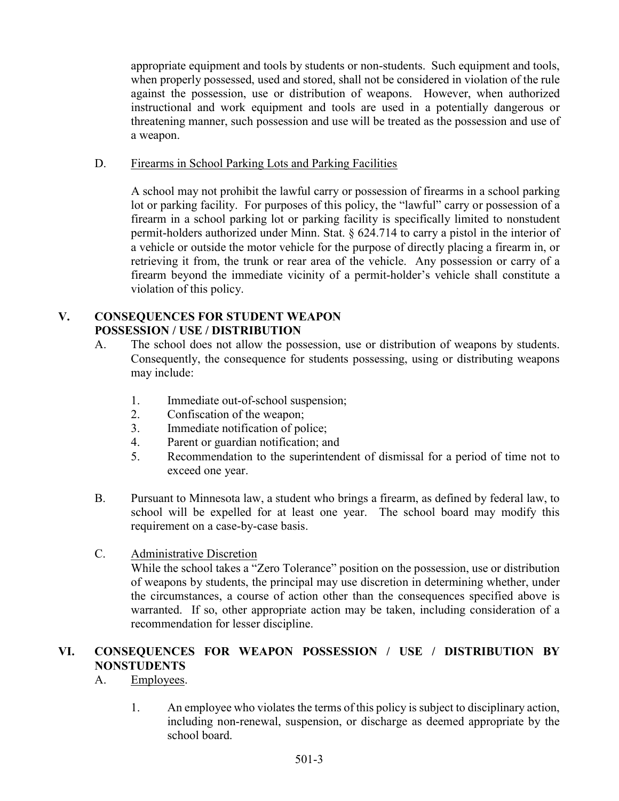appropriate equipment and tools by students or non-students. Such equipment and tools, when properly possessed, used and stored, shall not be considered in violation of the rule against the possession, use or distribution of weapons. However, when authorized instructional and work equipment and tools are used in a potentially dangerous or threatening manner, such possession and use will be treated as the possession and use of a weapon.

### D. Firearms in School Parking Lots and Parking Facilities

 A school may not prohibit the lawful carry or possession of firearms in a school parking lot or parking facility. For purposes of this policy, the "lawful" carry or possession of a firearm in a school parking lot or parking facility is specifically limited to nonstudent permit-holders authorized under Minn. Stat. § 624.714 to carry a pistol in the interior of a vehicle or outside the motor vehicle for the purpose of directly placing a firearm in, or retrieving it from, the trunk or rear area of the vehicle. Any possession or carry of a firearm beyond the immediate vicinity of a permit-holder's vehicle shall constitute a violation of this policy.

### V. CONSEQUENCES FOR STUDENT WEAPON POSSESSION / USE / DISTRIBUTION

- A. The school does not allow the possession, use or distribution of weapons by students. Consequently, the consequence for students possessing, using or distributing weapons may include:
	- 1. Immediate out-of-school suspension;
	- 2. Confiscation of the weapon;
	- 3. Immediate notification of police;
	- 4. Parent or guardian notification; and
	- 5. Recommendation to the superintendent of dismissal for a period of time not to exceed one year.
- B. Pursuant to Minnesota law, a student who brings a firearm, as defined by federal law, to school will be expelled for at least one year. The school board may modify this requirement on a case-by-case basis.

### C. Administrative Discretion

While the school takes a "Zero Tolerance" position on the possession, use or distribution of weapons by students, the principal may use discretion in determining whether, under the circumstances, a course of action other than the consequences specified above is warranted. If so, other appropriate action may be taken, including consideration of a recommendation for lesser discipline.

### VI. CONSEQUENCES FOR WEAPON POSSESSION / USE / DISTRIBUTION BY NONSTUDENTS

### A. Employees.

1. An employee who violates the terms of this policy is subject to disciplinary action, including non-renewal, suspension, or discharge as deemed appropriate by the school board.